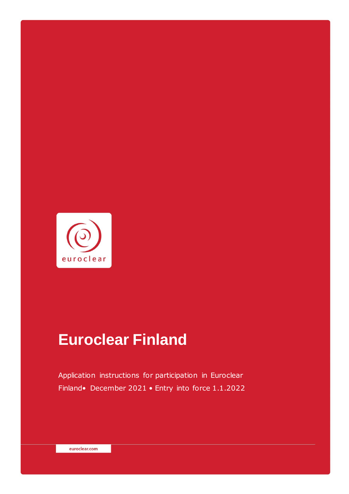

# **Euroclear Finland**

Application instructions for participation in Euroclear Finland• December 2021 • Entry into force 1.1.2022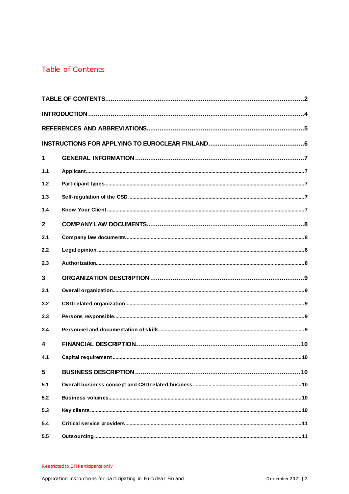# <span id="page-1-0"></span>Table of Contents

| 1                       |  |  |  |  |
|-------------------------|--|--|--|--|
| 1.1                     |  |  |  |  |
| 1.2                     |  |  |  |  |
| 1.3                     |  |  |  |  |
| 1.4                     |  |  |  |  |
| $\overline{2}$          |  |  |  |  |
| 2.1                     |  |  |  |  |
| 2.2                     |  |  |  |  |
| 2.3                     |  |  |  |  |
| $\mathbf{3}$            |  |  |  |  |
| 3.1                     |  |  |  |  |
| 3.2                     |  |  |  |  |
| 3.3                     |  |  |  |  |
| 3.4                     |  |  |  |  |
| $\overline{\mathbf{A}}$ |  |  |  |  |
| 4.1                     |  |  |  |  |
| 5                       |  |  |  |  |
| 5.1                     |  |  |  |  |
| 5.2                     |  |  |  |  |
| 5.3                     |  |  |  |  |
| 5.4                     |  |  |  |  |
| 5.5                     |  |  |  |  |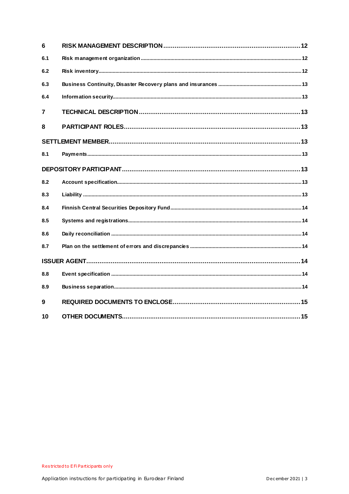| 6              |  |  |  |  |  |
|----------------|--|--|--|--|--|
| 6.1            |  |  |  |  |  |
| 6.2            |  |  |  |  |  |
| 6.3            |  |  |  |  |  |
| 6.4            |  |  |  |  |  |
| $\overline{7}$ |  |  |  |  |  |
| 8              |  |  |  |  |  |
|                |  |  |  |  |  |
| 8.1            |  |  |  |  |  |
|                |  |  |  |  |  |
| 8.2            |  |  |  |  |  |
| 8.3            |  |  |  |  |  |
| 8.4            |  |  |  |  |  |
| 8.5            |  |  |  |  |  |
| 8.6            |  |  |  |  |  |
| 8.7            |  |  |  |  |  |
|                |  |  |  |  |  |
| 8.8            |  |  |  |  |  |
| 8.9            |  |  |  |  |  |
| 9              |  |  |  |  |  |
| 10             |  |  |  |  |  |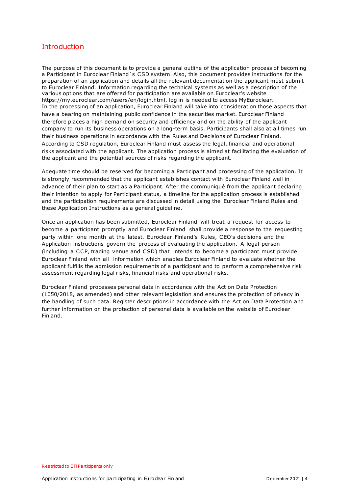## <span id="page-3-0"></span>**Introduction**

The purpose of this document is to provide a general outline of the application process of becoming a Participant in Euroclear Finland´s CSD system. Also, this document provides instructions for the preparation of an application and details all the relevant documentation the applicant must submit to Euroclear Finland. Information regarding the technical systems as well as a description of the various options that are offered for participation are available on Euroclear's website https://my.euroclear.com/users/en/login.html, log in is needed to access MyEuroclear. In the processing of an application, Euroclear Finland will take into consideration those aspects that have a bearing on maintaining public confidence in the securities market. Euroclear Finland therefore places a high demand on security and efficiency and on the ability of the applicant company to run its business operations on a long-term basis. Participants shall also at all times run their business operations in accordance with the Rules and Decisions of Euroclear Finland. According to CSD regulation, Euroclear Finland must assess the legal, financial and operational risks associated with the applicant. The application process is aimed at facilitating the evaluation of the applicant and the potential sources of risks regarding the applicant.

Adequate time should be reserved for becoming a Participant and processing of the application. It is strongly recommended that the applicant establishes contact with Euroclear Finland well in advance of their plan to start as a Participant. After the communiqué from the applicant declaring their intention to apply for Participant status, a timeline for the application process is established and the participation requirements are discussed in detail using the Euroclear Finland Rules and these Application Instructions as a general guideline.

Once an application has been submitted, Euroclear Finland will treat a request for access to become a participant promptly and Euroclear Finland shall provide a response to the requesting party within one month at the latest. Euroclear Finland's Rules, CEO's decisions and the Application instructions govern the process of evaluating the application. A legal person (including a CCP, trading venue and CSD) that intends to become a participant must provide Euroclear Finland with all information which enables Euroclear Finland to evaluate whether the applicant fulfills the admission requirements of a participant and to perform a comprehensive risk assessment regarding legal risks, financial risks and operational risks.

Euroclear Finland processes personal data in accordance with the Act on Data Protection (1050/2018, as amended) and other relevant legislation and ensures the protection of privacy in the handling of such data. Register descriptions in accordance with the Act on Data Protection and further information on the protection of personal data is available on the website of Euroclear Finland.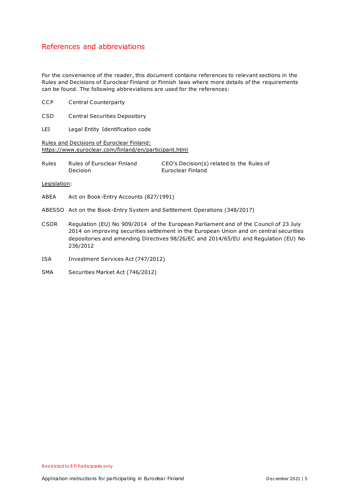## <span id="page-4-0"></span>References and abbreviations

For the convenience of the reader, this document contains references to relevant sections in the Rules and Decisions of Euroclear Finland or Finnish laws where more details of the requirements can be found. The following abbreviations are used for the references:

- CCP Central Counterparty
- CSD Central Securities Depository
- LEI Legal Entity Identification code

Rules and Decisions of Euroclear Finland: https://www.euroclear.com/finland/en/participant.html

| Rules | Rules of Euroclear Finland | CEO's Decision(s) related to the Rules of |
|-------|----------------------------|-------------------------------------------|
|       | Decision                   | Euroclear Finland                         |

Legislation:

- ABEA Act on Book-Entry Accounts (827/1991)
- ABESSO Act on the Book-Entry System and Settlement Operations (348/2017)
- CSDR Regulation (EU) No 909/2014 of the European Parliament and of the Council of 23 July 2014 on improving securities settlement in the European Union and on central securities depositories and amending Directives 98/26/EC and 2014/65/EU and Regulation (EU) No 236/2012
- ISA Investment Services Act (747/2012)
- SMA Securities Market Act (746/2012)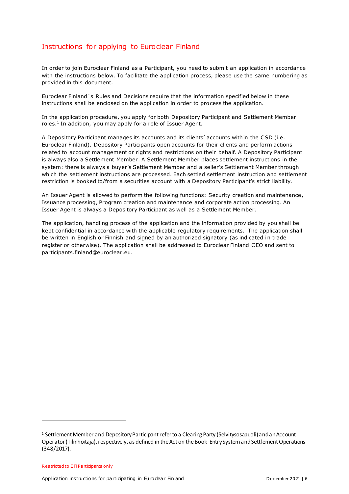# <span id="page-5-0"></span>Instructions for applying to Euroclear Finland

In order to join Euroclear Finland as a Participant, you need to submit an application in accordance with the instructions below. To facilitate the application process, please use the same numbering as provided in this document.

Euroclear Finland´s Rules and Decisions require that the information specified below in these instructions shall be enclosed on the application in order to process the application.

In the application procedure, you apply for both Depository Participant and Settlement Member roles.<sup>1</sup> In addition, you may apply for a role of Issuer Agent.

A Depository Participant manages its accounts and its clients' accounts within the CSD (i.e. Euroclear Finland). Depository Participants open accounts for their clients and perform actions related to account management or rights and restrictions on their behalf. A Depository Participant is always also a Settlement Member. A Settlement Member places settlement instructions in the system: there is always a buyer's Settlement Member and a seller's Settlement Member through which the settlement instructions are processed. Each settled settlement instruction and settlement restriction is booked to/from a securities account with a Depository Participant's strict liability.

An Issuer Agent is allowed to perform the following functions: Security creation and maintenance, Issuance processing, Program creation and maintenance and corporate action processing. An Issuer Agent is always a Depository Participant as well as a Settlement Member.

The application, handling process of the application and the information provided by you shall be kept confidential in accordance with the applicable regulatory requirements. The application shall be written in English or Finnish and signed by an authorized signatory (as indicated in trade register or otherwise). The application shall be addressed to Euroclear Finland CEO and sent to participants.finland@euroclear.eu.

<sup>&</sup>lt;sup>1</sup> Settlement Member and Depository Participant refer to a Clearing Party (Selvitysosapuoli) and an Account Operator (Tilinhoitaja), respectively, as defined in the Act on the Book-Entry System and Settlement Operations (348/2017).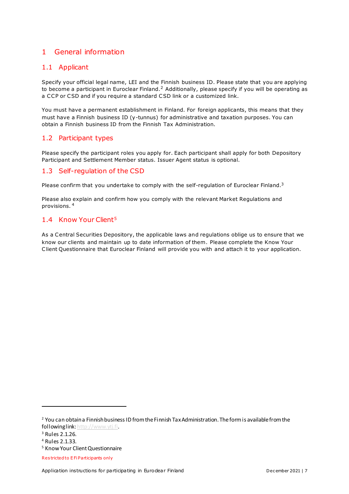# <span id="page-6-0"></span>1 General information

#### <span id="page-6-1"></span>1.1 Applicant

Specify your official legal name, LEI and the Finnish business ID. Please state that you are applying to become a participant in Euroclear Finland.<sup>2</sup> Additionally, please specify if you will be operating as a CCP or CSD and if you require a standard CSD link or a customized link.

You must have a permanent establishment in Finland. For foreign applicants, this means that they must have a Finnish business ID (y-tunnus) for administrative and taxation purposes. You can obtain a Finnish business ID from the Finnish Tax Administration.

## <span id="page-6-2"></span>1.2 Participant types

Please specify the participant roles you apply for. Each participant shall apply for both Depository Participant and Settlement Member status. Issuer Agent status is optional.

#### <span id="page-6-3"></span>1.3 Self-regulation of the CSD

Please confirm that you undertake to comply with the self-regulation of Euroclear Finland.<sup>3</sup>

Please also explain and confirm how you comply with the relevant Market Regulations and provisions. <sup>4</sup>

#### <span id="page-6-4"></span>1.4 Know Your Client<sup>5</sup>

As a Central Securities Depository, the applicable laws and regulations oblige us to ensure that we know our clients and maintain up to date information of them. Please complete the Know Your Client Questionnaire that Euroclear Finland will provide you with and attach it to your application.

<sup>&</sup>lt;sup>2</sup> You can obtain a Finnish business ID from the Finnish Tax Administration. The form is available from the following lin[k: http://www.ytj.fi](http://www.ytj.fi/).

<sup>3</sup> Rules 2.1.26.

<sup>4</sup> Rules 2.1.33.

<sup>5</sup> Know Your Client Questionnaire

Res tricted to E Fi Participants only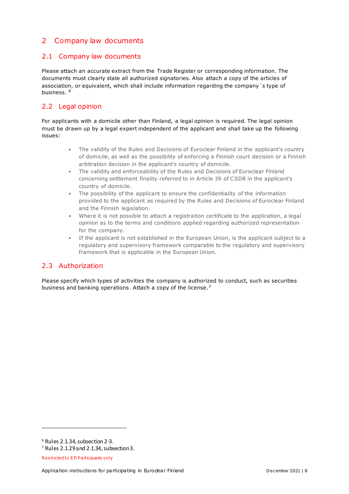# <span id="page-7-0"></span>2 Company law documents

## <span id="page-7-1"></span>2.1 Company law documents

Please attach an accurate extract from the Trade Register or corresponding information. The documents must clearly state all authorized signatories. Also attach a copy of the articles of association, or equivalent, which shall include information regarding the company´s type of business.<sup>6</sup>

## <span id="page-7-2"></span>2.2 Legal opinion

For applicants with a domicile other than Finland, a legal opinion is required. The legal opinion must be drawn up by a legal expert independent of the applicant and shall take up the following issues:

- The validity of the Rules and Decisions of Euroclear Finland in the applicant's country of domicile, as well as the possibility of enforcing a Finnish court decision or a Finnish arbitration decision in the applicant's country of domicile.
- The validity and enforceability of the Rules and Decisions of Euroclear Finland concerning settlement finality referred to in Article 39 of CSDR in the applicant's country of domicile.
- The possibility of the applicant to ensure the confidentiality of the information provided to the applicant as required by the Rules and Decisions of Euroclear Finland and the Finnish legislation.
- Where it is not possible to attach a registration certificate to the application, a legal opinion as to the terms and conditions applied regarding authorized representation for the company.
- If the applicant is not established in the European Union, is the applicant subject to a regulatory and supervisory framework comparable to the regulatory and supervisory framework that is applicable in the European Union.

## <span id="page-7-3"></span>2.3 Authorization

Please specify which types of activities the company is authorized to conduct, such as securities business and banking operations. Attach a copy of the license.<sup>7</sup>

<sup>6</sup> Rules 2.1.34, subsection 2-3.

 $7$  Rules 2.1.29 and 2.1.34, subsection 3.

Res tricted to E Fi Participants only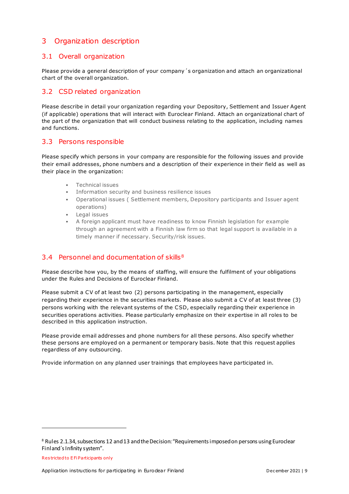# <span id="page-8-0"></span>3 Organization description

#### <span id="page-8-1"></span>3.1 Overall organization

Please provide a general description of your company´s organization and attach an organizational chart of the overall organization.

#### <span id="page-8-2"></span>3.2 CSD related organization

Please describe in detail your organization regarding your Depository, Settlement and Issuer Agent (if applicable) operations that will interact with Euroclear Finland. Attach an organizational chart of the part of the organization that will conduct business relating to the application, including names and functions.

#### <span id="page-8-3"></span>3.3 Persons responsible

Please specify which persons in your company are responsible for the following issues and provide their email addresses, phone numbers and a description of their experience in their field as well as their place in the organization:

- Technical issues
- Information security and business resilience issues
- Operational issues ( Settlement members, Depository participants and Issuer agent operations)
- Legal issues
- A foreign applicant must have readiness to know Finnish legislation for example through an agreement with a Finnish law firm so that legal support is available in a timely manner if necessary. Security/risk issues.

## <span id="page-8-4"></span>3.4 Personnel and documentation of skills<sup>8</sup>

Please describe how you, by the means of staffing, will ensure the fulfilment of your obligations under the Rules and Decisions of Euroclear Finland.

Please submit a CV of at least two (2) persons participating in the management, especially regarding their experience in the securities markets. Please also submit a CV of at least three (3) persons working with the relevant systems of the CSD, especially regarding their experience in securities operations activities. Please particularly emphasize on their expertise in all roles to be described in this application instruction.

Please provide email addresses and phone numbers for all these persons. Also specify whether these persons are employed on a permanent or temporary basis. Note that this request applies regardless of any outsourcing.

Provide information on any planned user trainings that employees have participated in.

Res tricted to E Fi Participants only

<sup>8</sup> Rules 2.1.34, subsections 12 and 13 and the Decision: "Requirements imposed on persons using Euroclear Finland´s Infinity system".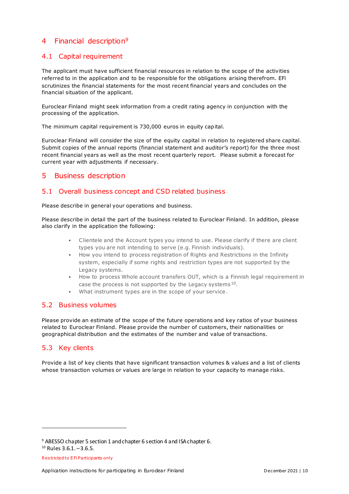## <span id="page-9-0"></span>4 Financial description<sup>9</sup>

#### <span id="page-9-1"></span>4.1 Capital requirement

The applicant must have sufficient financial resources in relation to the scope of the activities referred to in the application and to be responsible for the obligations arising therefrom. EFi scrutinizes the financial statements for the most recent financial years and concludes on the financial situation of the applicant.

Euroclear Finland might seek information from a credit rating agency in conjunction with the processing of the application.

The minimum capital requirement is 730,000 euros in equity capital.

Euroclear Finland will consider the size of the equity capital in relation to registered share capital. Submit copies of the annual reports (financial statement and auditor's report) for the three most recent financial years as well as the most recent quarterly report. Please submit a forecast for current year with adjustments if necessary.

## <span id="page-9-2"></span>5 Business description

#### <span id="page-9-3"></span>5.1 Overall business concept and CSD related business

Please describe in general your operations and business.

Please describe in detail the part of the business related to Euroclear Finland. In addition, please also clarify in the application the following:

- Clientele and the Account types you intend to use. Please clarify if there are client types you are not intending to serve (e.g. Finnish individuals).
- How you intend to process registration of Rights and Restrictions in the Infinity system, especially if some rights and restriction types are not supported by the Legacy systems.
- How to process Whole account transfers OUT, which is a Finnish legal requirement in case the process is not supported by the Legacy systems  $10$ .
- What instrument types are in the scope of your service.

#### <span id="page-9-4"></span>5.2 Business volumes

Please provide an estimate of the scope of the future operations and key ratios of your business related to Euroclear Finland. Please provide the number of customers, their nationalities or geographical distribution and the estimates of the number and value of transactions.

## <span id="page-9-5"></span>5.3 Key clients

Provide a list of key clients that have significant transaction volumes & values and a list of clients whose transaction volumes or values are large in relation to your capacity to manage risks.

<sup>9</sup> ABESSO chapter 5 section 1 and chapter 6 section 4 and ISA chapter 6.

 $10$  Rules 3.6.1.  $-3.6.5$ .

Res tricted to E Fi Participants only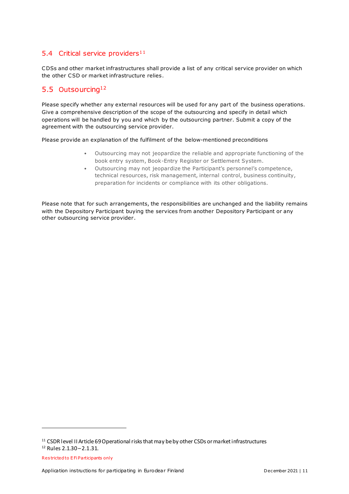## <span id="page-10-0"></span>5.4 Critical service providers<sup>11</sup>

CDSs and other market infrastructures shall provide a list of any critical service provider on which the other CSD or market infrastructure relies.

## <span id="page-10-1"></span>5.5 Outsourcing<sup>12</sup>

Please specify whether any external resources will be used for any part of the business operations. Give a comprehensive description of the scope of the outsourcing and specify in detail which operations will be handled by you and which by the outsourcing partner. Submit a copy of the agreement with the outsourcing service provider.

Please provide an explanation of the fulfilment of the below-mentioned preconditions

- Outsourcing may not jeopardize the reliable and appropriate functioning of the book entry system, Book-Entry Register or Settlement System.
- Outsourcing may not jeopardize the Participant's personnel's competence, technical resources, risk management, internal control, business continuity, preparation for incidents or compliance with its other obligations.

Please note that for such arrangements, the responsibilities are unchanged and the liability remains with the Depository Participant buying the services from another Depository Participant or any other outsourcing service provider.

-

Res tricted to E Fi Participants only

<sup>&</sup>lt;sup>11</sup> CSDR level II Article 69 Operational risks that may be by other CSDs or market infrastructures

<sup>12</sup> Rules 2.1.30 –2.1.31.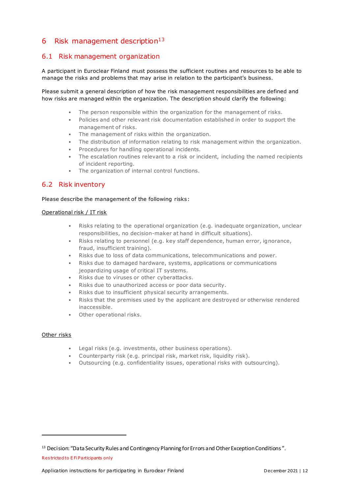## <span id="page-11-0"></span>6 Risk management description $13$

#### <span id="page-11-1"></span>6.1 Risk management organization

A participant in Euroclear Finland must possess the sufficient routines and resources to be able to manage the risks and problems that may arise in relation to the participant's business.

Please submit a general description of how the risk management responsibilities are defined and how risks are managed within the organization. The description should clarify the following:

- The person responsible within the organization for the management of risks.
- Policies and other relevant risk documentation established in order to support the management of risks.
- The management of risks within the organization.
- The distribution of information relating to risk management within the organization.
- Procedures for handling operational incidents.
- The escalation routines relevant to a risk or incident, including the named recipients of incident reporting.
- The organization of internal control functions.

#### <span id="page-11-2"></span>6.2 Risk inventory

#### Please describe the management of the following risks:

#### Operational risk / IT risk

- Risks relating to the operational organization (e.g. inadequate organization, unclear responsibilities, no decision-maker at hand in difficult situations).
- Risks relating to personnel (e.g. key staff dependence, human error, ignorance, fraud, insufficient training).
- Risks due to loss of data communications, telecommunications and power.
- Risks due to damaged hardware, systems, applications or communications jeopardizing usage of critical IT systems.
- Risks due to viruses or other cyberattacks.
- Risks due to unauthorized access or poor data security.
- Risks due to insufficient physical security arrangements.
- Risks that the premises used by the applicant are destroyed or otherwise rendered inaccessible.
- Other operational risks.

#### Other risks

- Legal risks (e.g. investments, other business operations).
- Counterparty risk (e.g. principal risk, market risk, liquidity risk).
- Outsourcing (e.g. confidentiality issues, operational risks with outsourcing).

<sup>&</sup>lt;sup>13</sup> Decision: "Data Security Rules and Contingency Planning for Errors and Other Exception Conditions".

Res tricted to E Fi Participants only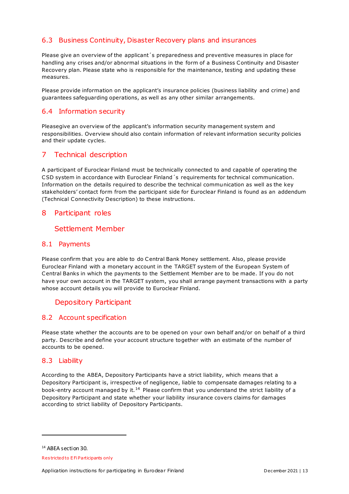#### <span id="page-12-0"></span>6.3 Business Continuity, Disaster Recovery plans and insurances

Please give an overview of the applicant´s preparedness and preventive measures in place for handling any crises and/or abnormal situations in the form of a Business Continuity and Disaster Recovery plan. Please state who is responsible for the maintenance, testing and updating these measures.

Please provide information on the applicant's insurance policies (business liability and crime) and guarantees safeguarding operations, as well as any other similar arrangements.

#### <span id="page-12-1"></span>6.4 Information security

Pleasegive an overview of the applicant's information security management system and responsibilities. Overview should also contain information of relevant information security policies and their update cycles.

## <span id="page-12-2"></span>7 Technical description

A participant of Euroclear Finland must be technically connected to and capable of operating the CSD system in accordance with Euroclear Finland´s requirements for technical communication. Information on the details required to describe the technical communication as well as the key stakeholders' contact form from the participant side for Euroclear Finland is found as an addendum (Technical Connectivity Description) to these instructions.

#### <span id="page-12-3"></span>8 Participant roles

#### <span id="page-12-4"></span>Settlement Member

#### <span id="page-12-5"></span>8.1 Payments

Please confirm that you are able to do Central Bank Money settlement. Also, please provide Euroclear Finland with a monetary account in the TARGET system of the European System of Central Banks in which the payments to the Settlement Member are to be made. If you do not have your own account in the TARGET system, you shall arrange payment transactions with a party whose account details you will provide to Euroclear Finland.

## <span id="page-12-6"></span>Depository Participant

#### <span id="page-12-7"></span>8.2 Account specification

Please state whether the accounts are to be opened on your own behalf and/or on behalf of a third party. Describe and define your account structure together with an estimate of the number of accounts to be opened.

#### <span id="page-12-8"></span>8.3 Liability

According to the ABEA, Depository Participants have a strict liability, which means that a Depository Participant is, irrespective of negligence, liable to compensate damages relating to a book-entry account managed by it.<sup>14</sup> Please confirm that you understand the strict liability of a Depository Participant and state whether your liability insurance covers claims for damages according to strict liability of Depository Participants.

<sup>14</sup> ABEA section 30.

Res tricted to E Fi Participants only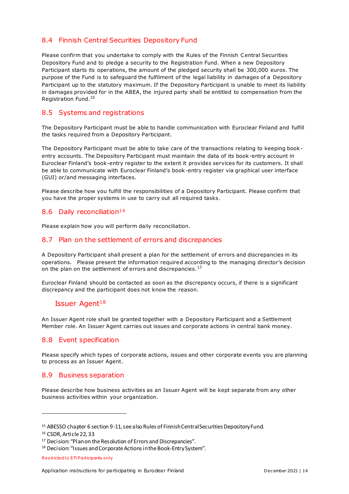#### <span id="page-13-0"></span>8.4 Finnish Central Securities Depository Fund

Please confirm that you undertake to comply with the Rules of the Finnish Central Securities Depository Fund and to pledge a security to the Registration Fund. When a new Depository Participant starts its operations, the amount of the pledged security shall be 300,000 euros. The purpose of the Fund is to safeguard the fulfilment of the legal liability in damages of a Depository Participant up to the statutory maximum. If the Depository Participant is unable to meet its liability in damages provided for in the ABEA, the injured party shall be entitled to compensation from the Registration Fund.<sup>15</sup>

#### <span id="page-13-1"></span>8.5 Systems and registrations

The Depository Participant must be able to handle communication with Euroclear Finland and fulfill the tasks required from a Depository Participant.

The Depository Participant must be able to take care of the transactions relating to keeping bookentry accounts. The Depository Participant must maintain the data of its book-entry account in Euroclear Finland's book-entry register to the extent it provides services for its customers. It shall be able to communicate with Euroclear Finland's book-entry register via graphical user interface (GUI) or/and messaging interfaces.

Please describe how you fulfill the responsibilities of a Depository Participant. Please confirm that you have the proper systems in use to carry out all required tasks.

#### <span id="page-13-2"></span>8.6 Daily reconciliation<sup>16</sup>

Please explain how you will perform daily reconciliation.

#### <span id="page-13-3"></span>8.7 Plan on the settlement of errors and discrepancies

A Depository Participant shall present a plan for the settlement of errors and discrepancies in its operations. Please present the information required according to the managing director's decision on the plan on the settlement of errors and discrepancies.<sup>17</sup>

Euroclear Finland should be contacted as soon as the discrepancy occurs, if there is a significant discrepancy and the participant does not know the reason.

#### <span id="page-13-4"></span>Issuer Agent $18$

An Issuer Agent role shall be granted together with a Depository Participant and a Settlement Member role. An Issuer Agent carries out issues and corporate actions in central bank money.

#### <span id="page-13-5"></span>8.8 Event specification

Please specify which types of corporate actions, issues and other corporate events you are planning to process as an Issuer Agent.

#### <span id="page-13-6"></span>8.9 Business separation

Please describe how business activities as an Issuer Agent will be kept separate from any other business activities within your organization.

<sup>15</sup> ABESSO chapter 6 section 9-11, see also Rules of Finnish Central Securities Depository Fund.

<sup>16</sup> CSDR, Article 22, 33

<sup>17</sup> Decision: "Plan on the Resolution of Errors and Discrepancies".

<sup>18</sup> Decision: "Issues and Corporate Actions in the Book-Entry System".

Res tricted to E Fi Participants only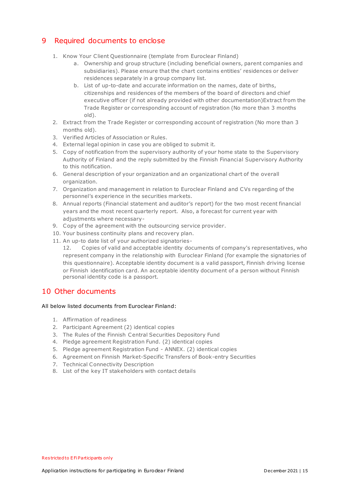# <span id="page-14-0"></span>9 Required documents to enclose

- 1. Know Your Client Questionnaire (template from Euroclear Finland)
	- a. Ownership and group structure (including beneficial owners, parent companies and subsidiaries). Please ensure that the chart contains entities' residences or deliver residences separately in a group company list.
	- b. List of up-to-date and accurate information on the names, date of births, citizenships and residences of the members of the board of directors and chief executive officer (if not already provided with other documentation)Extract from the Trade Register or corresponding account of registration (No more than 3 months old).
- 2. Extract from the Trade Register or corresponding account of registration (No more than 3 months old).
- 3. Verified Articles of Association or Rules.
- 4. External legal opinion in case you are obliged to submit it.
- 5. Copy of notification from the supervisory authority of your home state to the Supervisory Authority of Finland and the reply submitted by the Finnish Financial Supervisory Authority to this notification.
- 6. General description of your organization and an organizational chart of the overall organization.
- 7. Organization and management in relation to Euroclear Finland and CVs regarding of the personnel's experience in the securities markets.
- 8. Annual reports (Financial statement and auditor's report) for the two most recent financial years and the most recent quarterly report. Also, a forecast for current year with adjustments where necessary-
- 9. Copy of the agreement with the outsourcing service provider.
- 10. Your business continuity plans and recovery plan.
- 11. An up-to date list of your authorized signatories-

12. Copies of valid and acceptable identity documents of company's representatives, who represent company in the relationship with Euroclear Finland (for example the signatories of this questionnaire). Acceptable identity document is a valid passport, Finnish driving license or Finnish identification card. An acceptable identity document of a person without Finnish personal identity code is a passport.

## <span id="page-14-1"></span>10 Other documents

#### All below listed documents from Euroclear Finland:

- 1. Affirmation of readiness
- 2. Participant Agreement (2) identical copies
- 3. The Rules of the Finnish Central Securities Depository Fund
- 4. Pledge agreement Registration Fund. (2) identical copies
- 5. Pledge agreement Registration Fund ANNEX. (2) identical copies
- 6. Agreement on Finnish Market-Specific Transfers of Book-entry Securities
- 7. Technical Connectivity Description
- 8. List of the key IT stakeholders with contact details